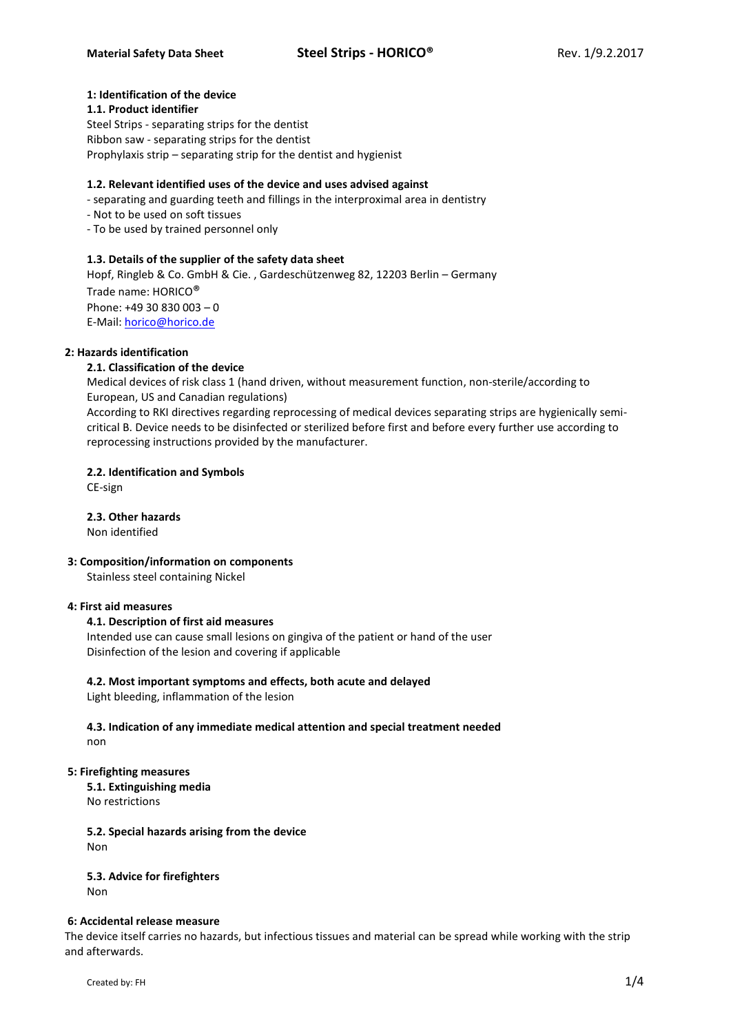# **1: Identification of the device**

#### **1.1. Product identifier**

Steel Strips - separating strips for the dentist Ribbon saw - separating strips for the dentist Prophylaxis strip – separating strip for the dentist and hygienist

# **1.2. Relevant identified uses of the device and uses advised against**

- separating and guarding teeth and fillings in the interproximal area in dentistry
- Not to be used on soft tissues
- To be used by trained personnel only

# **1.3. Details of the supplier of the safety data sheet**

Hopf, Ringleb & Co. GmbH & Cie. , Gardeschützenweg 82, 12203 Berlin – Germany Trade name: HORICO® Phone: +49 30 830 003 – 0 E-Mail[: horico@horico.de](mailto:horico@horico.de)

# **2: Hazards identification**

# **2.1. Classification of the device**

Medical devices of risk class 1 (hand driven, without measurement function, non-sterile/according to European, US and Canadian regulations)

According to RKI directives regarding reprocessing of medical devices separating strips are hygienically semicritical B. Device needs to be disinfected or sterilized before first and before every further use according to reprocessing instructions provided by the manufacturer.

# **2.2. Identification and Symbols**

CE-sign

**2.3. Other hazards** Non identified

# **3: Composition/information on components**

Stainless steel containing Nickel

# **4: First aid measures**

# **4.1. Description of first aid measures**

Intended use can cause small lesions on gingiva of the patient or hand of the user Disinfection of the lesion and covering if applicable

# **4.2. Most important symptoms and effects, both acute and delayed**

Light bleeding, inflammation of the lesion

# **4.3. Indication of any immediate medical attention and special treatment needed** non

# **5: Firefighting measures**

**5.1. Extinguishing media** No restrictions

#### **5.2. Special hazards arising from the device** Non

# **5.3. Advice for firefighters**

Non

# **6: Accidental release measure**

The device itself carries no hazards, but infectious tissues and material can be spread while working with the strip and afterwards.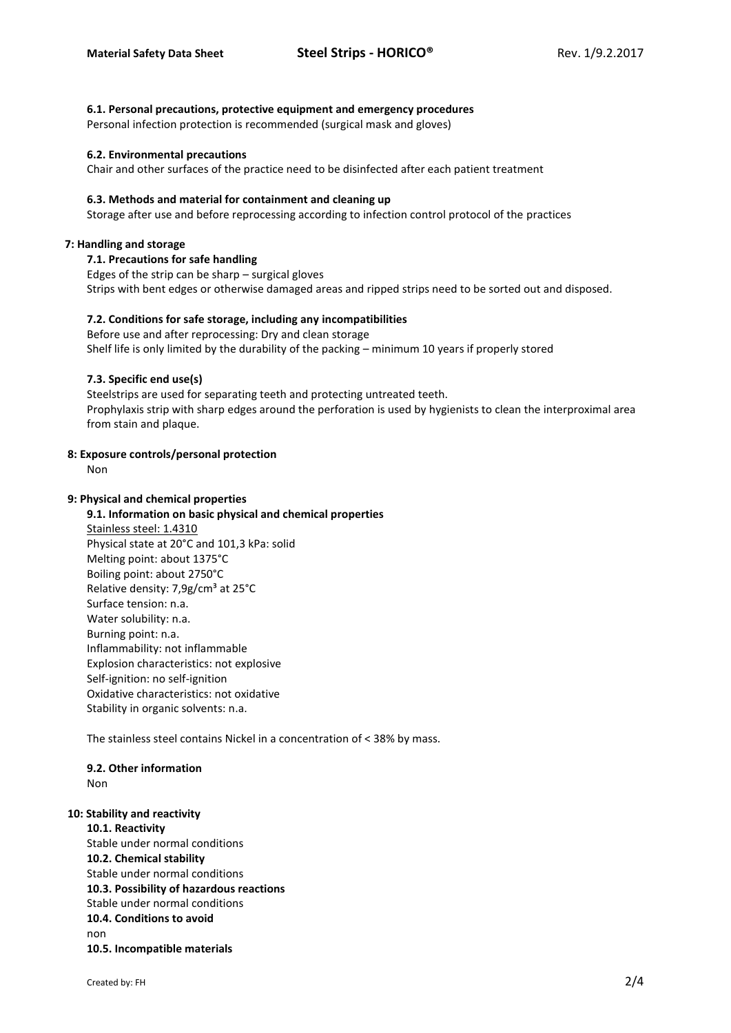#### **6.1. Personal precautions, protective equipment and emergency procedures**

Personal infection protection is recommended (surgical mask and gloves)

#### **6.2. Environmental precautions**

Chair and other surfaces of the practice need to be disinfected after each patient treatment

#### **6.3. Methods and material for containment and cleaning up**

Storage after use and before reprocessing according to infection control protocol of the practices

#### **7: Handling and storage**

#### **7.1. Precautions for safe handling**

Edges of the strip can be sharp – surgical gloves Strips with bent edges or otherwise damaged areas and ripped strips need to be sorted out and disposed.

# **7.2. Conditions for safe storage, including any incompatibilities**

Before use and after reprocessing: Dry and clean storage Shelf life is only limited by the durability of the packing – minimum 10 years if properly stored

# **7.3. Specific end use(s)**

Steelstrips are used for separating teeth and protecting untreated teeth. Prophylaxis strip with sharp edges around the perforation is used by hygienists to clean the interproximal area from stain and plaque.

# **8: Exposure controls/personal protection**

Non

# **9: Physical and chemical properties**

# **9.1. Information on basic physical and chemical properties** Stainless steel: 1.4310 Physical state at 20°C and 101,3 kPa: solid Melting point: about 1375°C Boiling point: about 2750°C Relative density: 7,9g/cm<sup>3</sup> at 25°C Surface tension: n.a. Water solubility: n.a. Burning point: n.a. Inflammability: not inflammable Explosion characteristics: not explosive Self-ignition: no self-ignition Oxidative characteristics: not oxidative Stability in organic solvents: n.a.

The stainless steel contains Nickel in a concentration of < 38% by mass.

#### **9.2. Other information** Non

# **10: Stability and reactivity**

**10.1. Reactivity** Stable under normal conditions **10.2. Chemical stability** Stable under normal conditions **10.3. Possibility of hazardous reactions** Stable under normal conditions **10.4. Conditions to avoid** non **10.5. Incompatible materials**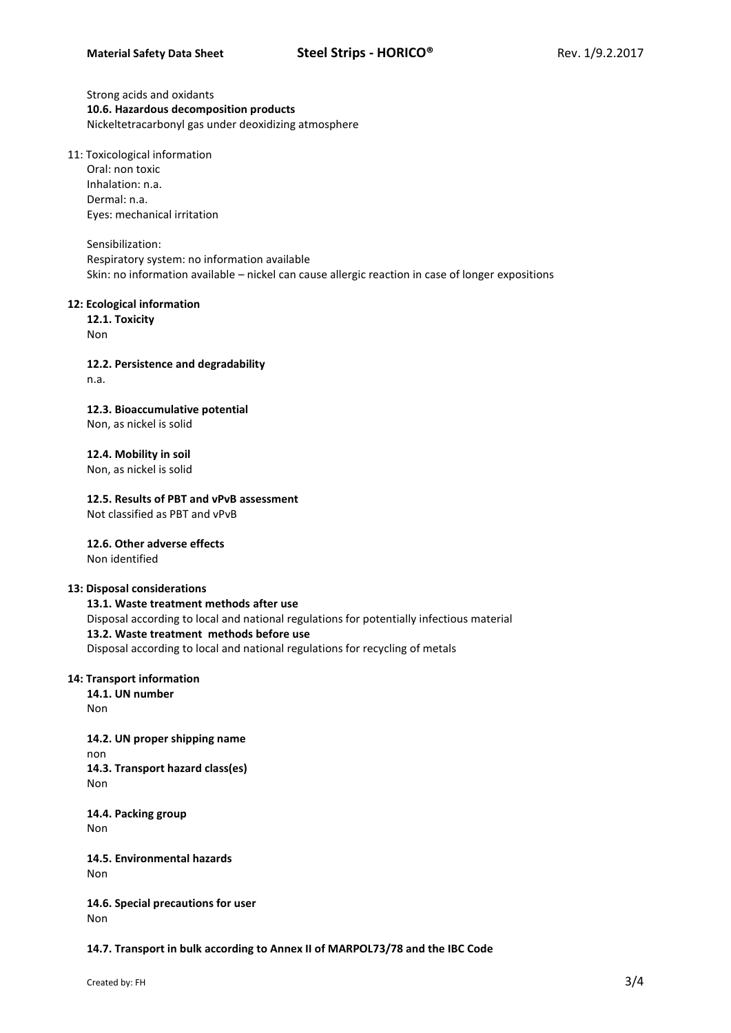Strong acids and oxidants **10.6. Hazardous decomposition products** Nickeltetracarbonyl gas under deoxidizing atmosphere

11: Toxicological information

Oral: non toxic Inhalation: n.a. Dermal: n.a. Eyes: mechanical irritation

Sensibilization: Respiratory system: no information available Skin: no information available – nickel can cause allergic reaction in case of longer expositions

# **12: Ecological information**

**12.1. Toxicity** Non

**12.2. Persistence and degradability** n.a.

**12.3. Bioaccumulative potential** Non, as nickel is solid

**12.4. Mobility in soil**

Non, as nickel is solid

**12.5. Results of PBT and vPvB assessment**

Not classified as PBT and vPvB

**12.6. Other adverse effects** Non identified

# **13: Disposal considerations**

**13.1. Waste treatment methods after use**

Disposal according to local and national regulations for potentially infectious material **13.2. Waste treatment methods before use**

Disposal according to local and national regulations for recycling of metals

# **14: Transport information**

**14.1. UN number** Non

**14.2. UN proper shipping name** non **14.3. Transport hazard class(es)** Non

**14.4. Packing group** Non

**14.5. Environmental hazards** Non

**14.6. Special precautions for user** Non

**14.7. Transport in bulk according to Annex II of MARPOL73/78 and the IBC Code**